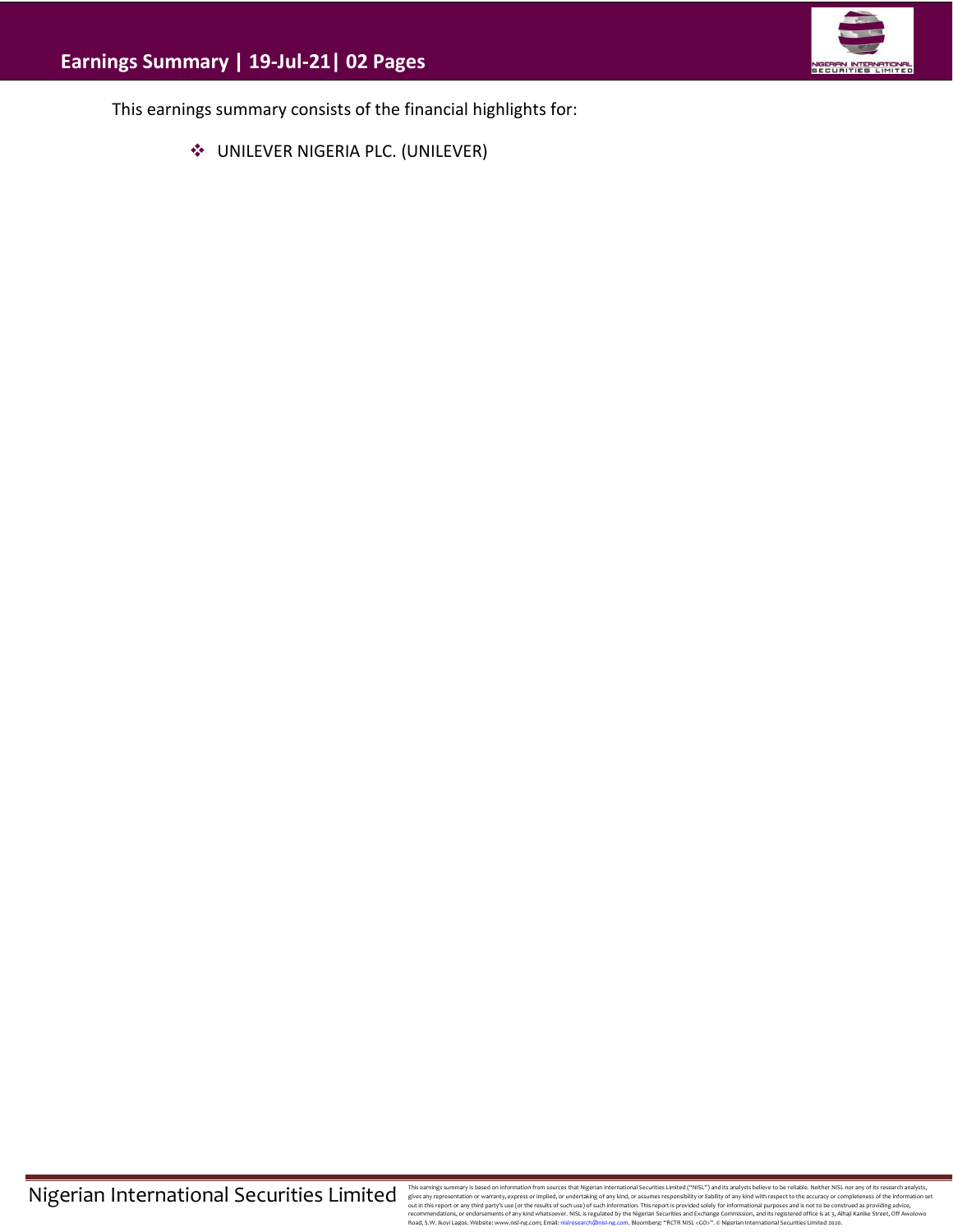

This earnings summary consists of the financial highlights for:

❖ UNILEVER NIGERIA PLC. (UNILEVER)

This earnings summary is based on information from sources that Migretian Interactional Securities Limitated ("WISL") and this analysts believe to be reliable. Neither NISL nor any of its research analysts, effects any exp